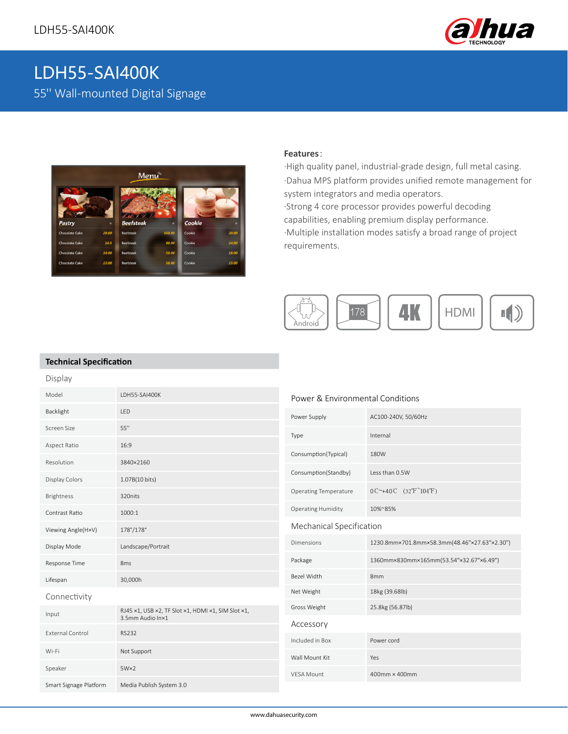

# LDH55-SAI400K 55'' Wall-mounted Digital Signage



#### **Features**:

·High quality panel, industrial-grade design, full metal casing. ·Dahua MPS platform provides unified remote management for system integrators and media operators. ·Strong 4 core processor provides powerful decoding capabilities, enabling premium display performance. ·Multiple installation modes satisfy a broad range of project requirements.



### **Technical Specification**

| Display                 |                                                                        |                                  |                                                           |
|-------------------------|------------------------------------------------------------------------|----------------------------------|-----------------------------------------------------------|
| Model                   | LDH55-SAI400K                                                          | Power & Environmental Conditions |                                                           |
| Backlight               | LED                                                                    | Power Supply                     | AC100-240V, 50/60Hz                                       |
| Screen Size             | 55"                                                                    | Type                             | Internal                                                  |
| Aspect Ratio            | 16:9                                                                   | Consumption(Typical)             | 180W                                                      |
| Resolution              | 3840×2160                                                              |                                  |                                                           |
| Display Colors          | 1.07B(10 bits)                                                         | Consumption(Standby)             | Less than 0.5W                                            |
| Brightness              | 320nits                                                                | <b>Operating Temperature</b>     | $0C^{\sim}+40C$ (32°F <sup><math>\sim</math></sup> 104°F) |
| Contrast Ratio          | 1000:1                                                                 | <b>Operating Humidity</b>        | 10%~85%                                                   |
| Viewing Angle(H×V)      | 178°/178°                                                              | Mechanical Specification         |                                                           |
| Display Mode            | Landscape/Portrait                                                     | <b>Dimensions</b>                | 1230.8mm×701.8mm×58.3mm(48.46"×27.63"×2.30")              |
| Response Time           | 8 <sub>ms</sub>                                                        | Package                          | 1360mm×830mm×165mm(53.54"×32.67"×6.49")                   |
| Lifespan                | 30,000h                                                                | Bezel Width                      | 8 <sub>mm</sub>                                           |
| Connectivity            |                                                                        | Net Weight                       | 18kg (39.68lb)                                            |
| Input                   | RJ45 x1, USB x2, TF Slot x1, HDMI x1, SIM Slot x1,<br>3.5mm Audio In×1 | Gross Weight                     | 25.8kg (56.87lb)                                          |
| <b>External Control</b> | <b>RS232</b>                                                           | Accessory                        |                                                           |
|                         |                                                                        | Included in Box                  | Power cord                                                |
| Wi-Fi                   | Not Support                                                            | Wall Mount Kit                   | Yes                                                       |
| Speaker                 | $5W\times2$                                                            | <b>VESA Mount</b>                | 400mm × 400mm                                             |
| Smart Signage Platform  | Media Publish System 3.0                                               |                                  |                                                           |